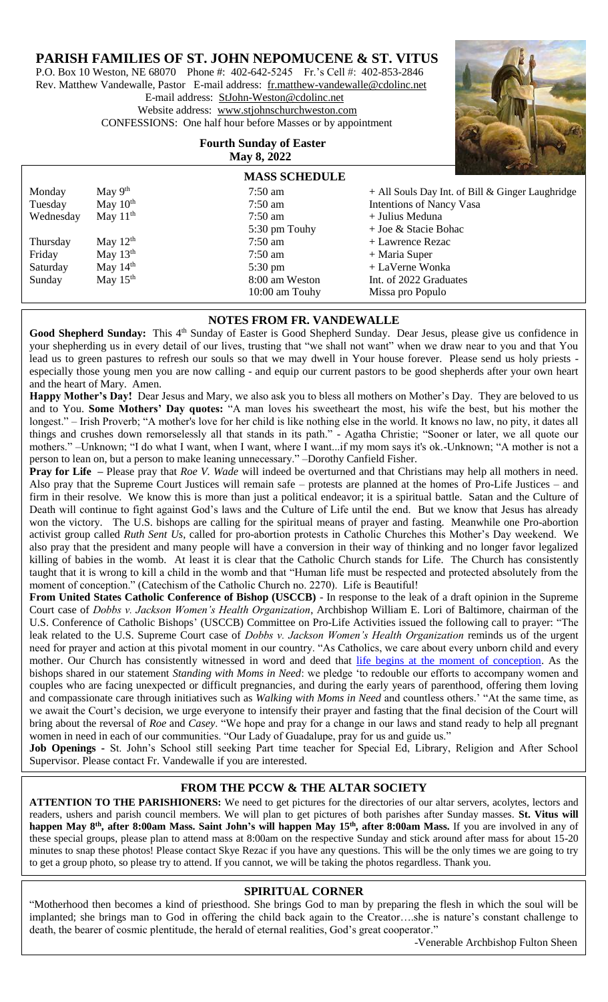# **PARISH FAMILIES OF ST. JOHN NEPOMUCENE & ST. VITUS**

P.O. Box 10 Weston, NE 68070 Phone #: 402-642-5245 Fr.'s Cell #: 402-853-2846 Rev. Matthew Vandewalle, Pastor E-mail address: [fr.matthew-vandewalle@cdolinc.net](mailto:fr.matthew-vandewalle@cdolinc.net) E-mail address: [StJohn-Weston@cdolinc.net](mailto:StJohn-Weston@cdolinc.net)  Website address: [www.stjohnschurchweston.com](http://www.stjohnschurchweston.com/)  CONFESSIONS: One half hour before Masses or by appointment

# **Fourth Sunday of Easter May 8, 2022**



|           |            |                      | $\sim$ $\sim$ $\sim$                             |
|-----------|------------|----------------------|--------------------------------------------------|
|           |            | <b>MASS SCHEDULE</b> |                                                  |
| Monday    | May $9th$  | $7:50$ am            | + All Souls Day Int. of Bill & Ginger Laughridge |
| Tuesday   | May $10th$ | $7:50$ am            | <b>Intentions of Nancy Vasa</b>                  |
| Wednesday | May $11th$ | $7:50$ am            | + Julius Meduna                                  |
|           |            | 5:30 pm Touhy        | $+$ Joe & Stacie Bohac                           |
| Thursday  | May $12th$ | $7:50$ am            | + Lawrence Rezac                                 |
| Friday    | May $13th$ | $7:50$ am            | $+$ Maria Super                                  |
| Saturday  | May $14th$ | $5:30 \text{ pm}$    | + LaVerne Wonka                                  |
| Sunday    | May $15th$ | 8:00 am Weston       | Int. of 2022 Graduates                           |
|           |            | 10:00 am Touhy       | Missa pro Populo                                 |

## **NOTES FROM FR. VANDEWALLE**

Good Shepherd Sunday: This 4<sup>th</sup> Sunday of Easter is Good Shepherd Sunday. Dear Jesus, please give us confidence in your shepherding us in every detail of our lives, trusting that "we shall not want" when we draw near to you and that You lead us to green pastures to refresh our souls so that we may dwell in Your house forever. Please send us holy priests especially those young men you are now calling - and equip our current pastors to be good shepherds after your own heart and the heart of Mary. Amen.

Happy Mother's Day! Dear Jesus and Mary, we also ask you to bless all mothers on Mother's Day. They are beloved to us and to You. **Some Mothers' Day quotes:** "A man loves his sweetheart the most, his wife the best, but his mother the longest." – Irish Proverb; "A mother's love for her child is like nothing else in the world. It knows no law, no pity, it dates all things and crushes down remorselessly all that stands in its path." - Agatha Christie; "Sooner or later, we all quote our mothers." –Unknown; "I do what I want, when I want, where I want...if my mom says it's ok.-Unknown; "A mother is not a person to lean on, but a person to make leaning unnecessary." –Dorothy Canfield Fisher.

**Pray for Life** – Please pray that *Roe V. Wade* will indeed be overturned and that Christians may help all mothers in need. Also pray that the Supreme Court Justices will remain safe – protests are planned at the homes of Pro-Life Justices – and firm in their resolve. We know this is more than just a political endeavor; it is a spiritual battle. Satan and the Culture of Death will continue to fight against God's laws and the Culture of Life until the end. But we know that Jesus has already won the victory. The U.S. bishops are calling for the spiritual means of prayer and fasting. Meanwhile one Pro-abortion activist group called *Ruth Sent Us*, called for pro-abortion protests in Catholic Churches this Mother's Day weekend. We also pray that the president and many people will have a conversion in their way of thinking and no longer favor legalized killing of babies in the womb. At least it is clear that the Catholic Church stands for Life. The Church has consistently taught that it is wrong to kill a child in the womb and that "Human life must be respected and protected absolutely from the moment of conception." (Catechism of the Catholic Church no. 2270). Life is Beautiful!

**From United States Catholic Conference of Bishop (USCCB)** - In response to the leak of a draft opinion in the Supreme Court case of *Dobbs v. Jackson Women's Health Organization*, Archbishop William E. Lori of Baltimore, chairman of the U.S. Conference of Catholic Bishops' (USCCB) Committee on Pro-Life Activities issued the following call to prayer: "The leak related to the U.S. Supreme Court case of *Dobbs v. Jackson Women's Health Organization* reminds us of the urgent need for prayer and action at this pivotal moment in our country. "As Catholics, we care about every unborn child and every mother. Our Church has consistently witnessed in word and deed that [life begins at the moment of conception.](https://www.usccb.org/issues-and-action/human-life-and-dignity/abortion/respect-for-unborn-human-life) As the bishops shared in our statement *[Standing with Moms in Need](https://www.usccb.org/resources/statement-standing-with-moms-031522.pdf)*: we pledge 'to redouble our efforts to accompany women and couples who are facing unexpected or difficult pregnancies, and during the early years of parenthood, offering them loving and compassionate care through initiatives such as *[Walking with Moms in Need](https://www.walkingwithmoms.com/)* and countless others.' "At the same time, as we await the Court's decision, we urge everyone to intensify their prayer and fasting that the final decision of the Court will bring about the reversal of *Roe* and *Casey*. "We hope and pray for a change in our laws and stand ready to help all pregnant women in need in each of our communities. "Our Lady of Guadalupe, pray for us and guide us."

**Job Openings -** St. John's School still seeking Part time teacher for Special Ed, Library, Religion and After School Supervisor. Please contact Fr. Vandewalle if you are interested.

# **FROM THE PCCW & THE ALTAR SOCIETY**

these special groups, please plan to attend mass at 8:00am on the respective Sunday and stick around after mass for about 15-20 **ATTENTION TO THE PARISHIONERS:** We need to get pictures for the directories of our altar servers, acolytes, lectors and readers, ushers and parish council members. We will plan to get pictures of both parishes after Sunday masses. **St. Vitus will happen May 8th, after 8:00am Mass. Saint John's will happen May 15th, after 8:00am Mass.** If you are involved in any of minutes to snap these photos! Please contact Skye Rezac if you have any questions. This will be the only times we are going to try to get a group photo, so please try to attend. If you cannot, we will be taking the photos regardless. Thank you.

#### **SPIRITUAL CORNER**

"Motherhood then becomes a kind of priesthood. She brings God to man by preparing the flesh in which the soul will be implanted; she brings man to God in offering the child back again to the Creator….she is nature's constant challenge to death, the bearer of cosmic plentitude, the herald of eternal realities, God's great cooperato[r."](https://www.inspiringquotes.us/quotes/0wYn_YNVjOk74)

 $\overline{a}$ 

-Venerable Archbishop Fulton Sheen